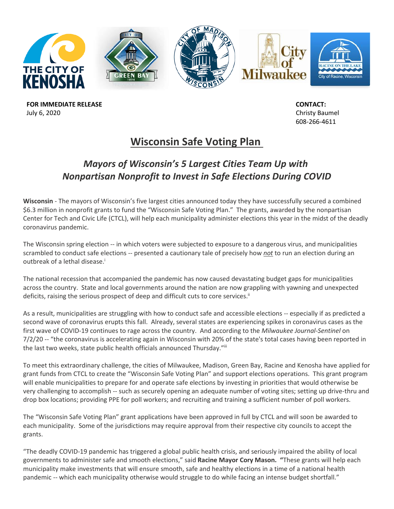

**FOR IMMEDIATE RELEASE** July 6, 2020

 **CONTACT:** Christy Baumel 608-266-4611

# **Wisconsin Safe Voting Plan**

## *Mayors of Wisconsin's 5 Largest Cities Team Up with Nonpartisan Nonprofit to Invest in Safe Elections During COVID*

**Wisconsin** - The mayors of Wisconsin's five largest cities announced today they have successfully secured a combined \$6.3 million in nonprofit grants to fund the "Wisconsin Safe Voting Plan." The grants, awarded by the nonpartisan Center for Tech and Civic Life (CTCL), will help each municipality administer elections this year in the midst of the deadly coronavirus pandemic.

The Wisconsin spring election -- in which voters were subjected to exposure to a dangerous virus, and municipalities scrambled to conduct safe elections -- presented a cautionary tale of precisely how *not* to run an election during an outbreak of a lethal disease.<sup>i</sup>

The national recession that accompanied the pandemic has now caused devastating budget gaps for municipalities across the country. State and local governments around the nation are now grappling with yawning and unexpected deficits, raising the serious prospect of deep and difficult cuts to core services.<sup>ii</sup>

As a result, municipalities are struggling with how to conduct safe and accessible elections -- especially if as predicted a second wave of coronavirus erupts this fall. Already, several states are experiencing spikes in coronavirus cases as the first wave of COVID-19 continues to rage across the country. And according to the *Milwaukee Journal-Sentinel* on 7/2/20 -- "the coronavirus is accelerating again in Wisconsin with 20% of the state's total cases having been reported in the last two weeks, state public health officials announced Thursday."iii

To meet this extraordinary challenge, the cities of Milwaukee, Madison, Green Bay, Racine and Kenosha have applied for grant funds from CTCL to create the "Wisconsin Safe Voting Plan" and support elections operations. This grant program will enable municipalities to prepare for and operate safe elections by investing in priorities that would otherwise be very challenging to accomplish -- such as securely opening an adequate number of voting sites; setting up drive-thru and drop box locations; providing PPE for poll workers; and recruiting and training a sufficient number of poll workers.

The "Wisconsin Safe Voting Plan" grant applications have been approved in full by CTCL and will soon be awarded to each municipality. Some of the jurisdictions may require approval from their respective city councils to accept the grants.

"The deadly COVID-19 pandemic has triggered a global public health crisis, and seriously impaired the ability of local governments to administer safe and smooth elections," said **Racine Mayor Cory Mason. "**These grants will help each municipality make investments that will ensure smooth, safe and healthy elections in a time of a national health pandemic -- which each municipality otherwise would struggle to do while facing an intense budget shortfall."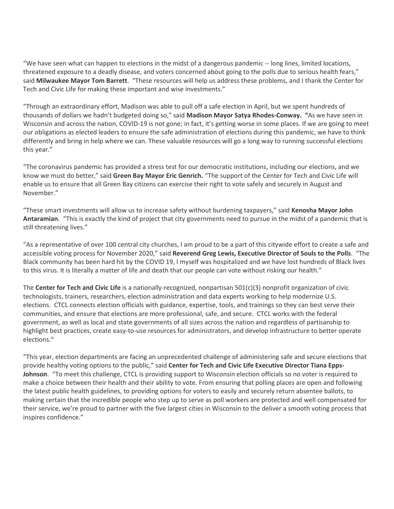"We have seen what can happen to elections in the midst of a dangerous pandemic -- long lines, limited locations, threatened exposure to a deadly disease, and voters concerned about going to the polls due to serious health fears," said **Milwaukee Mayor Tom Barrett**. "These resources will help us address these problems, and I thank the Center for Tech and Civic Life for making these important and wise investments."

"Through an extraordinary effort, Madison was able to pull off a safe election in April, but we spent hundreds of thousands of dollars we hadn't budgeted doing so," said **Madison Mayor Satya Rhodes-Conway. "**As we have seen in Wisconsin and across the nation, COVID-19 is not gone; in fact, it's getting worse in some places. If we are going to meet our obligations as elected leaders to ensure the safe administration of elections during this pandemic, we have to think differently and bring in help where we can. These valuable resources will go a long way to running successful elections this year."

"The coronavirus pandemic has provided a stress test for our democratic institutions, including our elections, and we know we must do better," said **Green Bay Mayor Eric Genrich.** "The support of the Center for Tech and Civic Life will enable us to ensure that all Green Bay citizens can exercise their right to vote safely and securely in August and November."

"These smart investments will allow us to increase safety without burdening taxpayers," said **Kenosha Mayor John Antaramian**. "This is exactly the kind of project that city governments need to pursue in the midst of a pandemic that is still threatening lives."

"As a representative of over 100 central city churches, I am proud to be a part of this citywide effort to create a safe and accessible voting process for November 2020," said **Reverend Greg Lewis, Executive Director of Souls to the Polls**. "The Black community has been hard hit by the COVID 19, I myself was hospitalized and we have lost hundreds of Black lives to this virus. It is literally a matter of life and death that our people can vote without risking our health."

The **Center for Tech and Civic Life** is a nationally-recognized, nonpartisan 501(c)(3) nonprofit organization of civic technologists, trainers, researchers, election administration and data experts working to help modernize U.S. elections. CTCL connects election officials with guidance, expertise, tools, and trainings so they can best serve their communities, and ensure that elections are more professional, safe, and secure. CTCL works with the federal government, as well as local and state governments of all sizes across the nation and regardless of partisanship to highlight best practices, create easy-to-use resources for administrators, and develop infrastructure to better operate elections.iv

"This year, election departments are facing an unprecedented challenge of administering safe and secure elections that provide healthy voting options to the public," said **Center for Tech and Civic Life Executive Director Tiana Epps-Johnson**. "To meet this challenge, CTCL is providing support to Wisconsin election officials so no voter is required to make a choice between their health and their ability to vote. From ensuring that polling places are open and following the latest public health guidelines, to providing options for voters to easily and securely return absentee ballots, to making certain that the incredible people who step up to serve as poll workers are protected and well compensated for their service, we're proud to partner with the five largest cities in Wisconsin to the deliver a smooth voting process that inspires confidence."